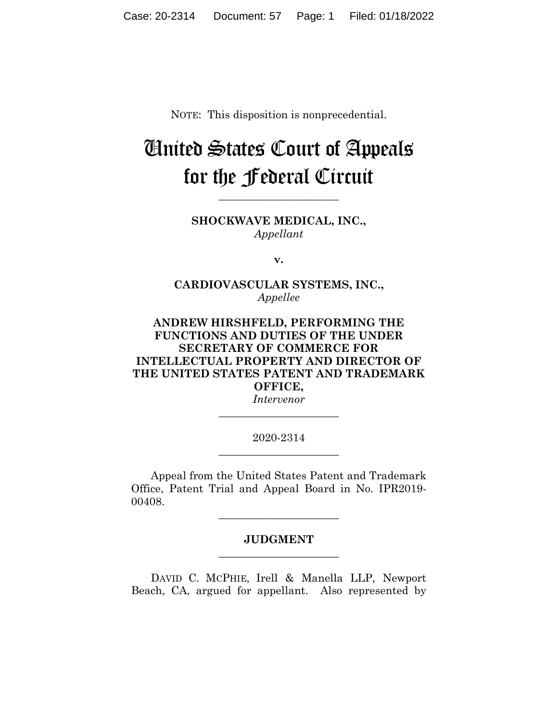NOTE: This disposition is nonprecedential.

## United States Court of Appeals for the Federal Circuit

**SHOCKWAVE MEDICAL, INC.,** *Appellant*

**\_\_\_\_\_\_\_\_\_\_\_\_\_\_\_\_\_\_\_\_\_\_** 

**v.**

**CARDIOVASCULAR SYSTEMS, INC.,** *Appellee*

## **ANDREW HIRSHFELD, PERFORMING THE FUNCTIONS AND DUTIES OF THE UNDER SECRETARY OF COMMERCE FOR INTELLECTUAL PROPERTY AND DIRECTOR OF THE UNITED STATES PATENT AND TRADEMARK OFFICE,**

*Intervenor* **\_\_\_\_\_\_\_\_\_\_\_\_\_\_\_\_\_\_\_\_\_\_** 

2020-2314 **\_\_\_\_\_\_\_\_\_\_\_\_\_\_\_\_\_\_\_\_\_\_** 

Appeal from the United States Patent and Trademark Office, Patent Trial and Appeal Board in No. IPR2019- 00408.

## **JUDGMENT \_\_\_\_\_\_\_\_\_\_\_\_\_\_\_\_\_\_\_\_\_\_**

**\_\_\_\_\_\_\_\_\_\_\_\_\_\_\_\_\_\_\_\_\_\_** 

DAVID C. MCPHIE, Irell & Manella LLP, Newport Beach, CA, argued for appellant. Also represented by